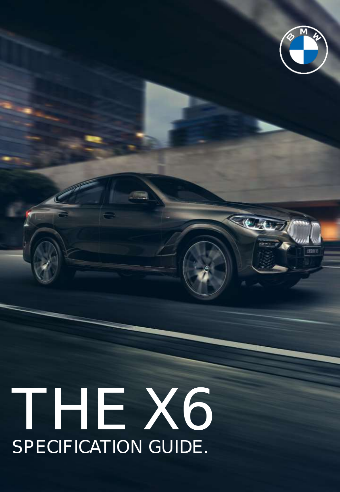# THE X6 SPECIFICATION GUIDE.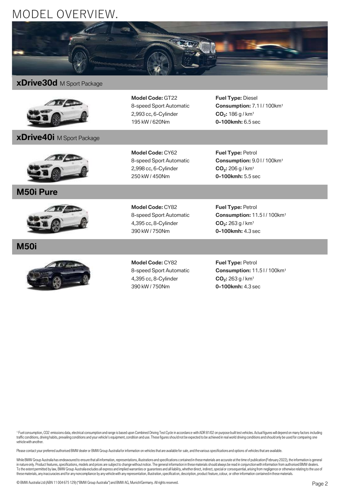## MODEL OVERVIEW.



### **xDrive30d** M Sport Package



**xDrive40i** M Sport Package

**Model Code:** GT22 8-speed Sport Automatic 2,993 cc, 6-Cylinder 195 kW / 620Nm

**Fuel Type:** Diesel **Consumption: 7.1 | / 100 km<sup>1</sup> CO<sup>2</sup> :** 186 g / km<sup>1</sup> **0-100kmh:** 6.5 sec



**M50i Pure**



**M50i**



**Model Code:** CY62 8-speed Sport Automatic 2,998 cc, 6-Cylinder 250 kW / 450Nm

**Model Code:** CY82 8-speed Sport Automatic 4,395 cc, 8-Cylinder 390 kW / 750Nm

**Fuel Type:** Petrol **Consumption:** 9.0 l / 100km<sup>1</sup> **CO<sup>2</sup> :** 206 g / km<sup>1</sup> **0-100kmh:** 5.5 sec

**Fuel Type:** Petrol **Consumption:** 11.5 l / 100km<sup>1</sup> **CO<sup>2</sup> :** 263 g / km<sup>1</sup> **0-100kmh:** 4.3 sec

**Model Code:** CY82 8-speed Sport Automatic 4,395 cc, 8-Cylinder 390 kW / 750Nm

**Fuel Type:** Petrol **Consumption:** 11.5 l / 100km<sup>1</sup> **CO<sup>2</sup> :** 263 g / km<sup>1</sup> **0-100kmh:** 4.3 sec

<sup>1</sup> Fuel consumption, CO2 emissions data, electrical consumption and range is based upon Combined Driving Test Cycle in accordance with ADR 81/02 on purpose built test vehicles. Actual figures will depend on many factors i traffic conditions, driving habits, prevailing conditions and your vehicle's equipment, condition and use. These figures should not be expected to be achieved in real world driving conditions and should only be used for co vehicle with another.

Please contact your preferred authorised BMW dealer or BMW Group Australia for information on vehicles that are available for sale, and the various specifications and options of vehicles that are available.

While BMW Group Australia has endeavoured to ensure that all information, representations, illustrations and specifications contained in these materials are accurate at the time of publication (February 2022), the informat in nature only. Product features, specifications, models and prices are subject to change without notice. The general information in these materials should always be read in conjunction with information from authorised BMW these materials, any inaccuracies and for any noncompliance by any vehicle with any representation, illustration, specification, description, product feature, colour, or other information contained in these materials.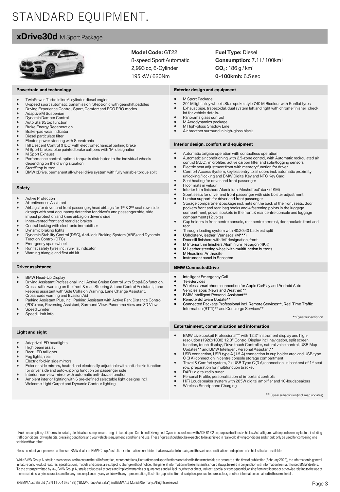# STANDARD EQUIPMENT.

### **xDrive30d** M Sport Package



**Powertrain and technology**

#### **Model Code:** GT22

8-speed Sport Automatic 2,993 cc, 6-Cylinder 195 kW / 620Nm

**Fuel Type:** Diesel **Consumption: 7.1 | / 100 km<sup>1</sup> CO<sup>2</sup> :** 186 g / km<sup>1</sup> **0-100kmh:** 6.5 sec

#### **Exterior design and equipment**

- M Sport Package 20" M light alloy wheels Star-spoke style 740 M Bicolour with Runflat tyres Exhaust pipe, trapezoidal, dual system left and right with chrome finisher check lot for vehicle details. Panorama glass sunroof M Aerodynamics package M High-gloss Shadow Line Air breather surround in high-gloss black **Interior design, comfort and equipment** • Automatic tailgate operation with contactless operation • Automatic air conditioning with 2.5-zone control, with Automatic recirculated air control (AUC), microfilter, active carbon filter and solar/fogging sensors • Electric seat adjustment front with memory function for drive<br>• Comfort Access System, keyless entry to all doors incl. autor • Comfort Access System, keyless entry to all doors incl. automatic proximity unlocking / locking and BMW Digital Key and NFC Key Card Seat heating for driver and front passenger • Floor mats in velour<br>• Interior trim finishers • Interior trim finishers Aluminium 'Mesheffect' dark (4KM) • Sport seats for driver and front passenger with side bolster adjustment • Lumbar support, for driver and front passenger Storage compartment package incl. nets on the back of the front seats, door pockets front and rear, bag hooks and 4 fastening points in the luggage compartment, power sockets in the front & rear centre console and luggage compartment (12 volts) • Cup holders in front centre console, rear centre armrest, door pockets front and rear • Through loading system with 40:20:40 backrest split • Upholstery, leather 'Vernasca' (M\*\*\*) • Door sill finishers with 'M' designation, front • M Interior trim finishers Aluminium Tetragon (4KK) • M Leather steering wheel with multifunction buttons • M Headliner Anthracite<br>• Instrument panel in Ser • Instrument panel in Sensatec **BMW ConnectedDrive** • Intelligent Emergency Call • TeleServices<br>• Wireless sma • Wireless smartphone connection for Apple CarPlay and Android Auto • Vehicles apps (News and Weather)\*\*<br>• BMW Intelligent Personal Assistant\* • BMW Intelligent Personal Assistant\*\* • Remote Software Update\*\* • Connected Package Professional incl. Remote Services\*\*, Real Time Traffic Information (RTTI)\*\* and Concierge Services\*\* \*\* 3year subscription **Entertainment, communication and information** • BMW Live cockpit Professional\*\* with 12.3" instrument display and high-resolution (1920x1080) 12.3" Control Display incl. navigation, split screen function, touch display, iDrive touch Controller, natural voice control, USB Map Updates\*\* and BMW Intelligent Personal Assistant\*\* USB connection, USB type A (1.5 A) connection in cup holder area and USB type C (3 A) connection in centre console storage compartment • Travel & Comfort system, 2 x USB Type C (3 A) connection in backrest of 1st seat row, preparation for multifunction bracket • DAB+ digital radio tuner • Personal Profile, personalisation of important controls • HiFi Loudspeaker system with 205W digital amplifier and 10-loudspeakers • TwinPower Turbo inline 6-cylinder diesel engine • 8-speed sport automatic transmission, Steptronic with gearshift paddles • Driving Experience Control, Sport, Comfort and ECO PRO modes • Adaptive M Suspenion • Dynamic Damper Control<br>• Auto Start/Stop function Auto Start/Stop function **Brake Energy Regeneration** • Brake-pad wear indicator Diesel particulate filter Electric power steering with Servotronic • Hill Descent Control (HDC) with electromechanical parking brake • M Sport brakes, blue painted brake callipers with 'M' designation M Sport Exhaust • Performance control, optimal torque is distributed to the individual wheels depending on the driving situation Start/Stop button • BMW xDrive, permanent all-wheel drive system with fully variable torque split **Safety Active Protection** Attentiveness Assistant • Airbags for driver and front passenger, head airbags for 1<sup>st</sup> & 2<sup>nd</sup> seat row, side airbags with seat occupancy detection for driver's and passenger side, side impact protection and knee airbag on driver's side • Inner-vented front and rear disc brakes Central locking with electronic immobiliser • Dynamic braking lights • Dynamic Stability Control (DSC), Anti-lock Braking System (ABS) and Dynamic Traction Control (DTC) • Emergency spare wheel • Runflat safety tyres incl. run-flat indicator • Warning triangle and first aid kit **Driver assistance** • BMW Head-Up Display • Driving Assistant Professional, incl. Active Cruise Control with Stop&Go function, Cross traffic warning on the front & rear, Steering & Lane Control Assistant, Lane keeping assistant with Side Collision Warning, Lane Change Assistant, Crossroads warning and Evasion Aid Parking Assistant Plus, incl. Parking Assistant with Active Park Distance Control (PDC) rear, Reversing Assistant, Surround View, Panorama View and 3D View **Speed Limiter** Speed Limit Info **Light and sight** • Adaptive LED headlights High beam assist • Rear LED taillights Fog lights, rear Electric fold-in side mirrors Exterior side mirrors, heated and electrically adjustable with anti-dazzle function for driver side and auto-dipping function on passenger side • Interior rear-view mirror with automatic anti-dazzle function Ambient interior lighting with 6 pre-defined selectable light designs incl.
	- Welcome Light Carpet and Dynamic Contour lighting

\*\* 3 year subscription (incl. map updates)

1 Fuel consumption, CO2 emissions data, electrical consumption and range is based upon Combined Driving Test Cycle in accordance with ADR 81/02 on purpose built test vehicles. Actual figures will depend on many factors inc traffic conditions, driving habits, prevailing conditions and your vehicle's equipment, condition and use. These figures should not be expected to be achieved in real world driving conditions and should only be used for co vehicle with another.

Wireless Smartphone Charging

Please contact your preferred authorised BMW dealer or BMW Group Australia for information on vehicles that are available for sale, and the various specifications and options of vehicles that are available.

While RMW Groun Australia has endeavoured to ensure that all information, representations, illustrations and specifications contained in these materials are accurate at the time of publication (February 2022), the informat in nature only. Product features, specifications, models and prices are subject to change without notice. The general information in these materials should always be read in conjunction with information from authorised BMW these materials, any inaccuracies and for any noncompliance by any vehicle with any representation, illustration, specification, description, product feature, colour, or other information contained in these materials.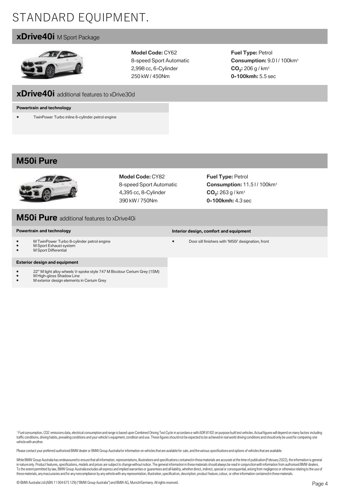# STANDARD EQUIPMENT.

### **xDrive40i** M Sport Package



**Model Code:** CY62 8-speed Sport Automatic 2,998 cc, 6-Cylinder 250 kW / 450Nm

**Fuel Type:** Petrol **Consumption:** 9.0 l / 100km<sup>1</sup> **CO<sup>2</sup> :** 206 g / km<sup>1</sup> **0-100kmh:** 5.5 sec

### **xDrive40i** additional features to xDrive30d

#### **Powertrain and technology**

• TwinPower Turbo inline 6-cylinder petrol engine

### **M50i Pure**



**Model Code:** CY82 8-speed Sport Automatic 4,395 cc, 8-Cylinder 390 kW / 750Nm

**Fuel Type:** Petrol **Consumption:** 11.5 l / 100km<sup>1</sup> **CO<sup>2</sup> :** 263 g / km<sup>1</sup> **0-100kmh:** 4.3 sec

**Interior design, comfort and equipment**

• Door sill finishers with 'M50i' designation, front

### **M50i Pure** additional features to xDrive40i

#### **Powertrain and technology**

- M TwinPower Turbo 8-cylinder petrol engine
- M Sport Exhaust system
- **M Sport Differential**

#### **Exterior design and equipment**

- 22" M light alloy wheels V-spoke style 747 M Bicolour Cerium Grey (1SM) M High-gloss Shadow Line
- 
- M exterior design elements in Cerium Grey

<sup>1</sup> Fuel consumption, CO2 emissions data, electrical consumption and range is based upon Combined Driving Test Cycle in accordance with ADR 81/02 on purpose built test vehicles. Actual figures will depend on many factors i traffic conditions, driving habits, prevailing conditions and your vehicle's equipment, condition and use. These figures should not be expected to be achieved in real world driving conditions and should only be used for co vehicle with another.

Please contact your preferred authorised BMW dealer or BMW Group Australia for information on vehicles that are available for sale, and the various specifications and options of vehicles that are available.

While BMW Group Australia has endeavoured to ensure that all information, representations, illustrations and specifications contained in these materials are accurate at the time of publication (February 2022), the informat in nature only. Product features, specifications, models and prices are subject to change without notice. The general information in these materials should always be read in conjunction with information from authorised BMW these materials, any inaccuracies and for any noncompliance by any vehicle with any representation, illustration, specification, description, product feature, colour, or other information contained in these materials.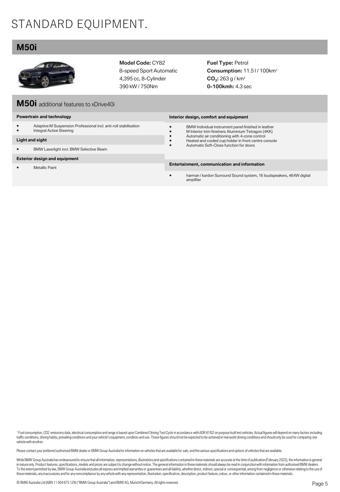# STANDARD EQUIPMENT.

### **M50i**



**Model Code:** CY82 8-speed Sport Automatic 4,395 cc, 8-Cylinder 390 kW / 750Nm

**Fuel Type:** Petrol **Consumption:** 11.5 l / 100km<sup>1</sup> **CO<sup>2</sup> :** 263 g / km<sup>1</sup> **0-100kmh:** 4.3 sec

| M50i additional features to xDrive40i/ |  |  |
|----------------------------------------|--|--|
|----------------------------------------|--|--|

#### **Powertrain and technology**

• Adaptive M Suspension Professional incl. anti-roll stabilisation Integral Active Steering

#### **Light and sight**

• BMW Laserlight incl. BMW Selective Beam

#### **Exterior design and equipment**

• Metallic Paint

**Interior design, comfort and equipment** • BMW Individual instrument panel finished in leather • M Interior trim finishers Aluminium Tetragon (4KK) • Automatic air conditioning with 4-zone control<br>• Heated and cooled cup holder in front centre co Heated and cooled cup holder in front centre console • Automatic Soft-Close function for doors

#### **Entertainment, communication and information**

• harman / kardon Surround Sound system, 16 loudspeakers, 464W digital amplifier

1 Fuel consumption, CO2 emissions data, electrical consumption and range is based upon Combined Driving Test Cycle in accordance with ADR 81/02 on purpose built test vehicles. Actual figures will depend on many factors inc traffic conditions, driving habits, prevailing conditions and your vehicle's equipment, condition and use. These figures should not be expected to be achieved in real world driving conditions and should only be used for co vehicle with another.

Please contact your preferred authorised BMW dealer or BMW Group Australia for information on vehicles that are available for sale, and the various specifications and options of vehicles that are available.

While BMW Group Australia has endeavoured to ensure that all information, representations, illustrations and specifications contained in these materials are accurate at the time of publication (February 2022), the informat in nature only. Product features, specifications, models and prices are subject to change without notice. The general information in these materials should always be read in conjunction with information from authorised BMW these materials, any inaccuracies and for any noncompliance by any vehicle with any representation, illustration, specification, description, product feature, colour, or other information contained in these materials.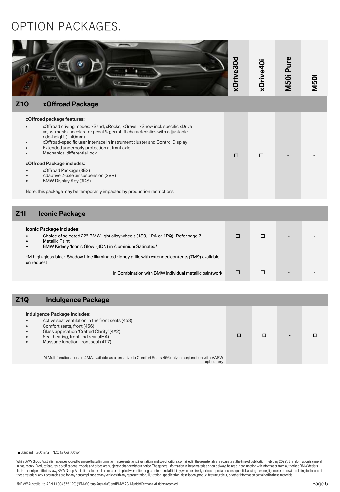## OPTION PACKAGES.

| <b>Z10</b><br>xOffroad Package                                                                                                                                                                                                                                                                                                                                                                                                                                                                                                                                                          | xDrive30d | xDrive40i | M50i Pure | <b>M50i</b> |
|-----------------------------------------------------------------------------------------------------------------------------------------------------------------------------------------------------------------------------------------------------------------------------------------------------------------------------------------------------------------------------------------------------------------------------------------------------------------------------------------------------------------------------------------------------------------------------------------|-----------|-----------|-----------|-------------|
| xOffroad package features:<br>xOffroad driving modes: xSand, xRocks, xGravel, xSnow incl. specific xDrive<br>adjustments, accelerator pedal & gearshift characteristics with adjustable<br>ride-height $(\pm 40$ mm)<br>xOffroad-specific user interface in instrument cluster and Control Display<br>Extended underbody protection at front axle<br>Mechanical differential lock<br>xOffroad Package includes:<br>xOffroad Package (3E3)<br>Adaptive 2-axle air suspension (2VR)<br>BMW Display Key (3DS)<br>Note: this package may be temporarily impacted by production restrictions | $\Box$    | □         |           |             |
| Z11<br><b>Iconic Package</b>                                                                                                                                                                                                                                                                                                                                                                                                                                                                                                                                                            |           |           |           |             |
| Iconic Package includes:<br>Choice of selected 22" BMW light alloy wheels (1S9, 1PA or 1PQ). Refer page 7.<br><b>Metallic Paint</b><br>BMW Kidney 'Iconic Glow' (3DN) in Aluminium Satinated*<br>*M high-gloss black Shadow Line illuminated kidney grille with extended contents (7M9) available                                                                                                                                                                                                                                                                                       | $\Box$    | $\Box$    |           |             |
| on request<br>In Combination with BMW Individual metallic paintwork                                                                                                                                                                                                                                                                                                                                                                                                                                                                                                                     | $\Box$    | □         |           |             |
|                                                                                                                                                                                                                                                                                                                                                                                                                                                                                                                                                                                         |           |           |           |             |
| <b>Indulgence Package</b><br>Z1Q                                                                                                                                                                                                                                                                                                                                                                                                                                                                                                                                                        |           |           |           |             |

| Indulgence Package includes:<br>Active seat ventilation in the front seats (453)<br>Comfort seats, front (456)<br>Glass application 'Crafted Clarity' (4A2)<br>Seat heating, front and rear (4HA)<br>Massage function, front seat (4T7) |  |  |  |
|-----------------------------------------------------------------------------------------------------------------------------------------------------------------------------------------------------------------------------------------|--|--|--|
| M Multifunctional seats 4MA available as alternative to Comfort Seats 456 only in conjunction with VASW<br>upholstery                                                                                                                   |  |  |  |

■ Standard □ Optional NCO No Cost Option

While BMW Group Australia has endeavoured to ensure that all information, representations, illustrations and specifications contained in these materials are accurate at the time of publication (February 2022), the informat To the extent permitted by law, BMW Group Australia excludes all express and implied warranties or guarantees and all liabili ty, whether direct, indirect, special or consequential, arising from negligence or otherwise rel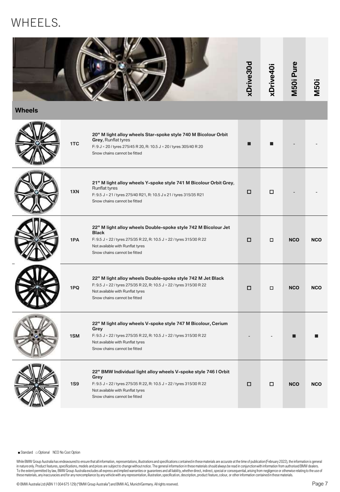# WHEELS.



**Wheels**

 $\sim$ and the second state.

| 1TC        | 20" M light alloy wheels Star-spoke style 740 M Bicolour Orbit<br>Grey, Runflat tyres<br>F: 9 J × 20 / tyres 275/45 R 20, R: 10.5 J × 20 / tyres 305/40 R 20<br>Snow chains cannot be fitted                                       |   |   |            |            |
|------------|------------------------------------------------------------------------------------------------------------------------------------------------------------------------------------------------------------------------------------|---|---|------------|------------|
| 1XN        | 21" M light alloy wheels Y-spoke style 741 M Bicolour Orbit Grey,<br><b>Runflat tyres</b><br>F: 9.5 J × 21 / tyres 275/40 R21, R: 10.5 J x 21 / tyres 315/35 R21<br>Snow chains cannot be fitted                                   | □ | □ |            |            |
| 1PA        | 22" M light alloy wheels Double-spoke style 742 M Bicolour Jet<br><b>Black</b><br>F: 9.5 J × 22 / tyres 275/35 R 22, R: 10.5 J × 22 / tyres 315/30 R 22<br>Not available with Runflat tyres<br>Snow chains cannot be fitted        | □ | □ | <b>NCO</b> | <b>NCO</b> |
| 1PQ        | 22" M light alloy wheels Double-spoke style 742 M Jet Black<br>F: 9.5 J $\times$ 22 / tyres 275/35 R 22, R: 10.5 J $\times$ 22 / tyres 315/30 R 22<br>Not available with Runflat tyres<br>Snow chains cannot be fitted             | □ | □ | <b>NCO</b> | <b>NCO</b> |
| 1SM        | 22" M light alloy wheels V-spoke style 747 M Bicolour, Cerium<br>Grey<br>F: 9.5 J × 22 / tyres 275/35 R 22, R: 10.5 J × 22 / tyres 315/30 R 22<br>Not available with Runflat tyres<br>Snow chains cannot be fitted                 |   |   |            |            |
| <b>1S9</b> | 22" BMW Individual light alloy wheels V-spoke style 746 I Orbit<br>Grey<br>F: 9.5 J $\times$ 22 / tyres 275/35 R 22, R: 10.5 J $\times$ 22 / tyres 315/30 R 22<br>Not available with Runflat tyres<br>Snow chains cannot be fitted | □ | □ | <b>NCO</b> | <b>NCO</b> |

■ Standard □ Optional NCO No Cost Option

While BMW Group Australia has endeavoured to ensure that all information, representations, illustrations and specifications contained in these materials are accurate at the time of publication (February 2022), the informat To the extent permitted by law, BMW Group Australia excludes all express and implied warranties or guarantees and all liabili ty, whether direct, indirect, special or consequential, arising from negligence or otherwise rel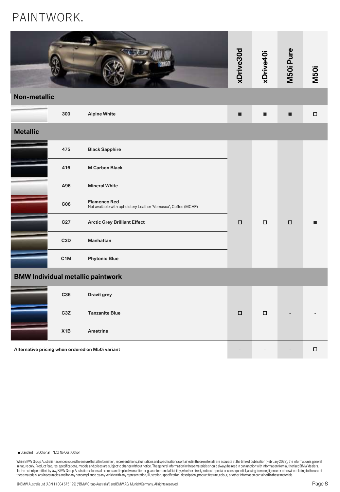# PAINTWORK.

|                     |                  |                                                                                        | xDrive30d | xDrive40i | M50i Pure | <b>M50i</b> |
|---------------------|------------------|----------------------------------------------------------------------------------------|-----------|-----------|-----------|-------------|
| <b>Non-metallic</b> |                  |                                                                                        |           |           |           |             |
|                     | 300              | <b>Alpine White</b>                                                                    | п         | п         | П         | $\Box$      |
| <b>Metallic</b>     |                  |                                                                                        |           |           |           |             |
|                     | 475              | <b>Black Sapphire</b>                                                                  |           |           |           |             |
|                     | 416              | <b>M Carbon Black</b>                                                                  |           |           |           |             |
|                     | A96              | <b>Mineral White</b>                                                                   |           |           |           |             |
|                     | C <sub>06</sub>  | <b>Flamenco Red</b><br>Not available with upholstery Leather 'Vernasca', Coffee (MCHF) |           |           |           |             |
|                     | C27              | <b>Arctic Grey Brilliant Effect</b>                                                    | $\Box$    | $\Box$    | $\Box$    |             |
|                     | C <sub>3</sub> D | <b>Manhattan</b>                                                                       |           |           |           |             |
|                     | C <sub>1</sub> M | <b>Phytonic Blue</b>                                                                   |           |           |           |             |
|                     |                  | <b>BMW Individual metallic paintwork</b>                                               |           |           |           |             |
|                     | C36              | Dravit grey                                                                            |           |           |           |             |
|                     | C <sub>3</sub> Z | <b>Tanzanite Blue</b>                                                                  | $\Box$    | □         |           |             |
|                     | X1B              | <b>Ametrine</b>                                                                        |           |           |           |             |
|                     |                  |                                                                                        |           |           |           |             |

**Alternative pricing when ordered on M50i variant** and the state of the state of the state of the state of the state of the state of the state of the state of the state of the state of the state of the state of the state o

■ Standard □ Optional NCO No Cost Option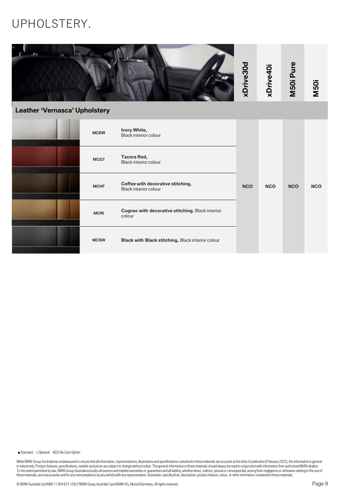# UPHOLSTERY.

| Leather 'Vernasca' Upholstery |             |                                                            | xDrive30d  | xDrive40i  | M50i Pure  | <b>M50i</b> |
|-------------------------------|-------------|------------------------------------------------------------|------------|------------|------------|-------------|
|                               | <b>MCEW</b> | Ivory White,<br><b>Black interior colour</b>               |            |            |            |             |
|                               | MCG7        | Tacora Red,<br>Black interior colour                       |            |            |            |             |
|                               | <b>MCHF</b> | Coffee with decorative stitching,<br>Black interior colour | <b>NCO</b> | <b>NCO</b> | <b>NCO</b> | <b>NCO</b>  |
|                               | <b>MCRI</b> | Cognac with decorative stitching, Black interior<br>colour |            |            |            |             |
|                               | <b>MCSW</b> | Black with Black stitching, Black interior colour          |            |            |            |             |

■ Standard □ Optional NCO No Cost Option

While BMW Group Australia has endeavoured to ensure that all information, representations, illustrations and specifications contained in these materials are accurate at the time of publication (February 2022), the informat To the extent permitted by law, BMW Group Australia excludes all express and implied warranties or guarantees and all liabili ty, whether direct, indirect, special or consequential, arising from negligence or otherwise rel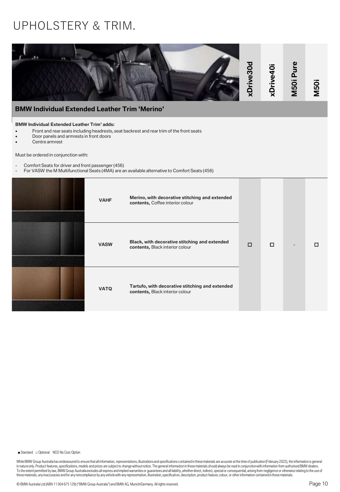## UPHOLSTERY & TRIM.

| <b>BMW Individual Extended Leather Trim 'Merino'</b>                                                                                                                                                                                                        |             |                                                                                                                                                                                            | xDrive30d | xDrive40i | M50i Pure | <b>M50i</b> |
|-------------------------------------------------------------------------------------------------------------------------------------------------------------------------------------------------------------------------------------------------------------|-------------|--------------------------------------------------------------------------------------------------------------------------------------------------------------------------------------------|-----------|-----------|-----------|-------------|
| <b>BMW Individual Extended Leather Trim' adds:</b><br>Door panels and armrests in front doors<br>Centre armrest<br>Must be ordered in conjunction with:<br>Comfort Seats for driver and front passenger (456)<br>$\blacksquare$<br>$\overline{\phantom{a}}$ |             | Front and rear seats including headrests, seat backrest and rear trim of the front seats<br>For VASW the M Multifunctional Seats (4MA) are an available alternative to Comfort Seats (456) |           |           |           |             |
|                                                                                                                                                                                                                                                             | <b>VAHF</b> | Merino, with decorative stitching and extended<br>contents, Coffee interior colour                                                                                                         |           |           |           |             |
|                                                                                                                                                                                                                                                             | <b>VASW</b> | Black, with decorative stitching and extended<br>contents, Black interior colour                                                                                                           | $\Box$    | □         |           | □           |
|                                                                                                                                                                                                                                                             | <b>VATQ</b> | Tartufo, with decorative stitching and extended<br>contents, Black interior colour                                                                                                         |           |           |           |             |

■ Standard □ Optional NCO No Cost Option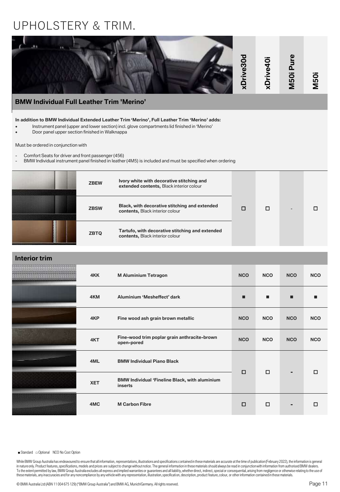## UPHOLSTERY & TRIM.



|  | <b>ZBSW</b> | Black, with decorative stitching and extended<br>contents, Black interior colour   |  |  |
|--|-------------|------------------------------------------------------------------------------------|--|--|
|  | <b>ZBTQ</b> | Tartufo, with decorative stitching and extended<br>contents, Black interior colour |  |  |

| <b>Interior trim</b> |            |                                                                  |            |            |                |            |
|----------------------|------------|------------------------------------------------------------------|------------|------------|----------------|------------|
|                      | 4KK        | <b>M Aluminium Tetragon</b>                                      | <b>NCO</b> | <b>NCO</b> | <b>NCO</b>     | <b>NCO</b> |
|                      | 4KM        | Aluminium 'Mesheffect' dark                                      | П          | п          | п              |            |
|                      | 4KP        | Fine wood ash grain brown metallic                               | <b>NCO</b> | <b>NCO</b> | <b>NCO</b>     | <b>NCO</b> |
|                      | 4KT        | Fine-wood trim poplar grain anthracite-brown<br>open-pored       | <b>NCO</b> | <b>NCO</b> | <b>NCO</b>     | <b>NCO</b> |
|                      | 4ML        | <b>BMW Individual Piano Black</b>                                | $\Box$     | $\Box$     |                | п          |
|                      | <b>XET</b> | <b>BMW Individual 'Fineline Black, with aluminium</b><br>inserts |            |            | ۰              |            |
|                      | 4MC        | <b>M Carbon Fibre</b>                                            | $\Box$     | $\Box$     | $\blacksquare$ | □          |

■ Standard □ Optional NCO No Cost Option

While BMW Group Australia has endeavoured to ensure that all information, representations, illustrations and specifications contained in these materials are accurate at the time of publication (February 2022), the informat in nature only. Product features, specifications, models and prices are subject to change without notice. The general information in these materials should always be read in conjunction with information from authorised BMW To the extent permitted by law, BMW Group Australia excludes all express and implied warranties or guarantees and all liability, whether direct, indirect, special or consequential, arising from negligence or otherwise rela these materials, any inaccuracies and for any noncompliance by any vehicle with any representation, illustration, specification, description, product feature, colour, or other information contained in these materials.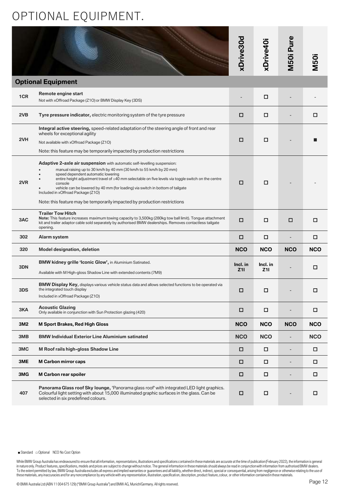# OPTIONAL EQUIPMENT.

|     |                                                                                                                                                                                                                                                                                                                                                                                                                                                                                                                   | xDrive30d       | xDrive40i       | M50i Pure                | <b>M50i</b> |
|-----|-------------------------------------------------------------------------------------------------------------------------------------------------------------------------------------------------------------------------------------------------------------------------------------------------------------------------------------------------------------------------------------------------------------------------------------------------------------------------------------------------------------------|-----------------|-----------------|--------------------------|-------------|
|     | <b>Optional Equipment</b>                                                                                                                                                                                                                                                                                                                                                                                                                                                                                         |                 |                 |                          |             |
| 1CR | Remote engine start<br>Not with xOffroad Package (Z1O) or BMW Display Key (3DS)                                                                                                                                                                                                                                                                                                                                                                                                                                   |                 | □               |                          |             |
| 2VB | Tyre pressure indicator, electric monitoring system of the tyre pressure                                                                                                                                                                                                                                                                                                                                                                                                                                          | □               | □               |                          | □           |
| 2VH | Integral active steering, speed-related adaptation of the steering angle of front and rear<br>wheels for exceptional agility<br>Not available with xOffroad Package (Z1O)<br>Note: this feature may be temporarily impacted by production restrictions                                                                                                                                                                                                                                                            | □               | □               |                          |             |
| 2VR | Adaptive 2-axle air suspension with automatic self-levelling suspension:<br>manual raising up to 30 km/h by 40 mm (30 km/h to 55 km/h by 20 mm)<br>speed dependent automatic lowering<br>entire height adjustment travel of $\pm$ 40 mm selectable on five levels via toggle switch on the centre<br>console<br>vehicle can be lowered by 40 mm (for loading) via switch in bottom of tailgate<br>Included in xOffroad Package (Z1O)<br>Note: this feature may be temporarily impacted by production restrictions | □               | □               |                          |             |
| 3AC | <b>Trailer Tow Hitch</b><br>Note: This feature increases maximum towing capacity to 3,500kg (280kg tow ball limit). Tongue attachment<br>kit and trailer adaptor cable sold separately by authorised BMW dealerships. Removes contactless tailgate<br>opening.                                                                                                                                                                                                                                                    | □               | □               | □                        | □           |
| 302 | Alarm system                                                                                                                                                                                                                                                                                                                                                                                                                                                                                                      | □               | □               |                          | ◻           |
| 320 | <b>Model designation, deletion</b>                                                                                                                                                                                                                                                                                                                                                                                                                                                                                | <b>NCO</b>      | <b>NCO</b>      | <b>NCO</b>               | <b>NCO</b>  |
| 3DN | <b>BMW kidney grille 'Iconic Glow', in Aluminium Satinated.</b><br>Available with M High-gloss Shadow Line with extended contents (7M9)                                                                                                                                                                                                                                                                                                                                                                           | Incl. in<br>Z11 | Incl. in<br>Z11 |                          | □           |
| 3DS | <b>BMW Display Key,</b> displays various vehicle status data and allows selected functions to be operated via<br>the integrated touch display<br>Included in xOffroad Package (Z1O)                                                                                                                                                                                                                                                                                                                               | □               | □               |                          | □           |
| 3KA | <b>Acoustic Glazing</b><br>Only available in conjunction with Sun Protection glazing (420)                                                                                                                                                                                                                                                                                                                                                                                                                        | п               | п               |                          |             |
| 3M2 | <b>M Sport Brakes, Red High Gloss</b>                                                                                                                                                                                                                                                                                                                                                                                                                                                                             | <b>NCO</b>      | <b>NCO</b>      | <b>NCO</b>               | <b>NCO</b>  |
| 3MB | <b>BMW Individual Exterior Line Aluminium satinated</b>                                                                                                                                                                                                                                                                                                                                                                                                                                                           | <b>NCO</b>      | <b>NCO</b>      | $\overline{a}$           | <b>NCO</b>  |
| 3MC | M Roof rails high-gloss Shadow Line                                                                                                                                                                                                                                                                                                                                                                                                                                                                               | $\Box$          | $\Box$          | $\overline{\phantom{a}}$ | □           |
| 3ME | <b>M Carbon mirror caps</b>                                                                                                                                                                                                                                                                                                                                                                                                                                                                                       | $\Box$          | □               | $\overline{\phantom{a}}$ | □           |
| 3MG | M Carbon rear spoiler                                                                                                                                                                                                                                                                                                                                                                                                                                                                                             | $\Box$          | $\Box$          |                          | □           |
| 407 | Panorama Glass roof Sky lounge, 'Panorama glass roof' with integrated LED light graphics.<br>Colourful light setting with about 15,000 illuminated graphic surfaces in the glass. Can be<br>selected in six predefined colours.                                                                                                                                                                                                                                                                                   | $\Box$          | □               |                          | □           |

■ Standard □ Optional NCO No Cost Option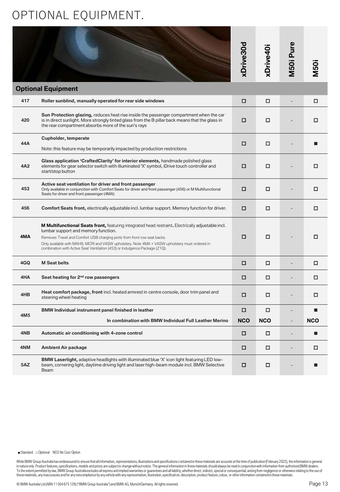# OPTIONAL EQUIPMENT.

|                 |                                                                                                                                                                                                                                                                                                                                                                                                              | xDrive30d  | xDrive40i  | M50i Pure                | <b>M50i</b> |
|-----------------|--------------------------------------------------------------------------------------------------------------------------------------------------------------------------------------------------------------------------------------------------------------------------------------------------------------------------------------------------------------------------------------------------------------|------------|------------|--------------------------|-------------|
|                 | <b>Optional Equipment</b>                                                                                                                                                                                                                                                                                                                                                                                    |            |            |                          |             |
| 417             | Roller sunblind, manually operated for rear side windows                                                                                                                                                                                                                                                                                                                                                     | $\Box$     | □          |                          | □           |
| 420             | <b>Sun Protection glazing, reduces heat rise inside the passenger compartment when the car</b><br>is in direct sunlight. More strongly tinted glass from the B pillar back means that the glass in<br>the rear compartment absorbs more of the sun's rays                                                                                                                                                    | □          | □          |                          | □           |
| 44A             | <b>Cupholder, temperate</b>                                                                                                                                                                                                                                                                                                                                                                                  | □          | □          |                          |             |
|                 | Note: this feature may be temporarily impacted by production restrictions                                                                                                                                                                                                                                                                                                                                    |            |            |                          |             |
| 4A2             | Glass application 'CraftedClarity' for interior elements, handmade polished glass<br>elements for gear selector switch with illuminated 'X' symbol, iDrive touch controller and<br>start/stop button                                                                                                                                                                                                         | □          | □          |                          | □           |
| 453             | Active seat ventilation for driver and front passenger<br>Only available in conjunction with Comfort Seats for driver and front passenger (456) or M Multifunctional<br>Seats for driver and front passenger (4MA)                                                                                                                                                                                           | □          | □          |                          | □           |
| 456             | <b>Comfort Seats front, electrically adjustable incl. lumbar support. Memory function for driver.</b>                                                                                                                                                                                                                                                                                                        | □          | □          |                          | □           |
| 4MA             | <b>M Multifunctional Seats front, featuring integrated head restraint. Electrically adjustable incl.</b><br>lumbar support and memory function.<br>Removes Travel and Comfort USB charging ports from front row seat backs.<br>Only available with MAH9, MCRI and VASW upholstery. Note 4MA + VASW upholstery must ordered in<br>combination with Active Seat Ventilation (453) or Indulgence Package (Z1Q). | □          | □          |                          | □           |
| 4GQ             | <b>M Seat belts</b>                                                                                                                                                                                                                                                                                                                                                                                          | □          | □          |                          | □           |
| 4HA             | Seat heating for 2 <sup>nd</sup> row passengers                                                                                                                                                                                                                                                                                                                                                              | □          | □          |                          | □           |
| 4HB             | <b>Heat comfort package, front</b> incl. heated armrest in centre console, door trim panel and<br>steering wheel heating                                                                                                                                                                                                                                                                                     | □          | □          |                          | □           |
| 4M <sub>5</sub> | BMW Individual instrument panel finished in leather                                                                                                                                                                                                                                                                                                                                                          | □          | п          |                          |             |
|                 | In combination with BMW Individual Full Leather Merino                                                                                                                                                                                                                                                                                                                                                       | <b>NCO</b> | <b>NCO</b> | $\overline{\phantom{a}}$ | <b>NCO</b>  |
| 4NB             | Automatic air conditioning with 4-zone control                                                                                                                                                                                                                                                                                                                                                               | □          | □          | $\overline{\phantom{0}}$ | ■           |
| 4NM             | <b>Ambient Air package</b>                                                                                                                                                                                                                                                                                                                                                                                   | □          | $\Box$     |                          | □           |
| 5AZ             | BMW Laserlight, adaptive headlights with illuminated blue 'X' icon light featuring LED low-<br>beam, cornering light, daytime driving light and laser high-beam module incl. BMW Selective<br><b>Beam</b>                                                                                                                                                                                                    | □          | □          |                          |             |

■ Standard □ Optional NCO No Cost Option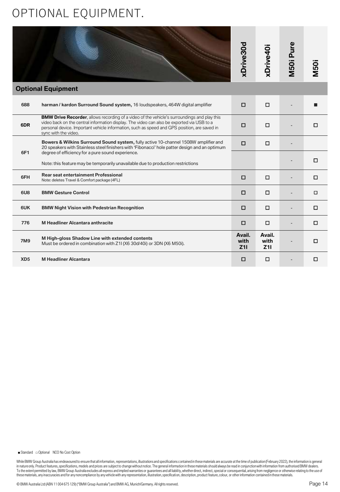# OPTIONAL EQUIPMENT.

|                 |                                                                                                                                                                                                                                                                                                                          | xDrive30d             | xDrive40i             | M50i Pure | <b>M50i</b> |
|-----------------|--------------------------------------------------------------------------------------------------------------------------------------------------------------------------------------------------------------------------------------------------------------------------------------------------------------------------|-----------------------|-----------------------|-----------|-------------|
|                 | <b>Optional Equipment</b>                                                                                                                                                                                                                                                                                                |                       |                       |           |             |
| 688             | harman / kardon Surround Sound system, 16 loudspeakers, 464W digital amplifier                                                                                                                                                                                                                                           | □                     | О                     |           |             |
| 6DR             | <b>BMW Drive Recorder, allows recording of a video of the vehicle's surroundings and play this</b><br>video back on the central information display. The video can also be exported via USB to a<br>personal device. Important vehicle information, such as speed and GPS position, are saved in<br>sync with the video. | $\Box$                | О                     |           | $\Box$      |
| 6F1             | Bowers & Wilkins Surround Sound system, fully active 10-channel 1508W amplifier and<br>20 speakers with Stainless steel finishers with 'Fibonacci' hole patter design and an optimum                                                                                                                                     | □                     | □                     |           |             |
|                 | degree of efficiency for a pure sound experience.<br>Note: this feature may be temporarily unavailable due to production restrictions                                                                                                                                                                                    |                       |                       |           | □           |
| 6FH             | <b>Rear seat entertainment Professional</b><br>Note: deletes Travel & Comfort package (4FL)                                                                                                                                                                                                                              | $\Box$                | □                     |           | О           |
| 6U8             | <b>BMW Gesture Control</b>                                                                                                                                                                                                                                                                                               | $\Box$                | □                     |           | □           |
| 6UK             | <b>BMW Night Vision with Pedestrian Recognition</b>                                                                                                                                                                                                                                                                      | $\Box$                | □                     |           | □           |
| 776             | <b>M Headliner Alcantara anthracite</b>                                                                                                                                                                                                                                                                                  | $\Box$                | $\Box$                |           | $\Box$      |
| <b>7M9</b>      | M High-gloss Shadow Line with extended contents<br>Must be ordered in combination with Z1I (X6 30d/40i) or 3DN (X6 M50i).                                                                                                                                                                                                | Avail.<br>with<br>Z11 | Avail.<br>with<br>Z11 |           | □           |
| XD <sub>5</sub> | <b>M Headliner Alcantara</b>                                                                                                                                                                                                                                                                                             | □                     | о                     |           | О           |

■ Standard □ Optional NCO No Cost Option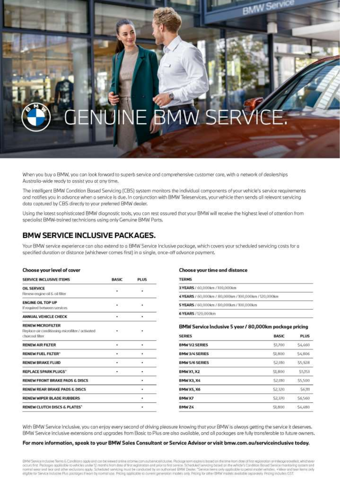# **BN**

When you buy a BMW, you can look forward to superb service and comprehensive customer care, with a network of dealerships Australia-wide ready to assist you at any time.

The Intelligent BMW Condition Based Servicing (CBS) system monitors the individual components of your vehicle's service requirements and notifies you in advance when a service is due. In conjunction with BMW Teleservices, your vehicle then sends all relevant servicing data captured by CBS directly to your preferred BMW dealer.

Using the lotest sophisticated BMW diagnostic tools, you can rest assured that your BMW will receive the highest level of attention from specialist BMW-trained technicians using only Genuine BMW Parts.

### **BMW SERVICE INCLUSIVE PACKAGES.**

Your BMW service experience can also extend to a BMW Service Inclusive package, which covers your scheduled servicing costs for a specified duration or distance (whichever comes first) in a single, ance-off advance payment.

#### Choose your level of cover

| SERVICE INCLUSIVE ITEMS                          | <b>BASIC</b>         | <b>PLUS</b> |
|--------------------------------------------------|----------------------|-------------|
| <b>OIL SERVICE</b>                               | is l                 | U,          |
| Renew engine oil & oil filter                    |                      |             |
| <b>ENGINE OIL TOP UP</b>                         | $\ddot{\phantom{1}}$ | i.          |
| If required between services:                    |                      |             |
| ANNUAL VEHICLE CHECK                             | $\bullet$            | ×           |
| <b>RENEW MICROFILTER</b>                         |                      |             |
| Replace air conditioning microfilter / activated | $\sim$               | ×           |
| choicool filter.                                 |                      |             |
| <b>RENEW AIR FILTER</b>                          | $\ddot{\phantom{1}}$ | Ø.          |
| RENEW FUEL FILTER*                               | ٠                    | ٠           |
| RENEW BRAKE FLUID                                | - 1                  | Q.          |
| <b>REPLACE SPARK PLUGS"</b>                      | <b>.</b>             | Ť,          |
| RENEW FRONT BRAKE PADS & DISCS                   |                      | ۰           |
| <b>RENEW REAR BRAKE PADS &amp; DISCS</b>         |                      | ٠.          |
| RENEW WIPER BLADE RUBBERS                        |                      | đ           |
| RENEW CLUTCH DISCS & PLATES*                     |                      | ٠           |

#### Choose your time and distance

| <b>TERMS</b>                                          |  |
|-------------------------------------------------------|--|
| 3 YEARS / 60,000 km / 100,000 km                      |  |
| 4 YEARS / 60,000km / 80,000km / 100,000km / 120,000km |  |
| 5 YEARS / 60,000 km / 80,000 km / 100,000 km          |  |
| 6 YEARS / 120,000km                                   |  |

#### BMW Service Inclusive 5 year / 80,000km package pricing

| <b>SERIES</b>         | <b>BASIC</b> | <b>PLUS</b>   |
|-----------------------|--------------|---------------|
| <b>BMW1/2 SERIES</b>  | \$1,700      | \$4,660       |
| <b>BMW 3/4 SERIES</b> | \$1,800      | <b>S4,806</b> |
| <b>BMW 5/6 SERIES</b> | 52.010       | \$5,928       |
| <b>BMW X1, X2</b>     | 51,800       | \$5,157       |
| <b>BMW X3, X4</b>     | \$2.010      | \$5,500       |
| <b>BMW X5, X6</b>     | \$2.320      | \$6.111       |
| BMW X7                | 52,370       | \$6,560       |
| BMW Z4                | \$1,800      | \$4,480       |

With BMW Service Inclusive, you can enjoy every second of driving pleasure knowing that your BMW is always getting the service it deserves. BMW Service Inclusive extensions and upgrades from Basic to Plus are also available, and all packages are fully transferable to future owners.

#### For more information, speak to your BMW Sales Consultant or Service Advisor or visit bmw.com.au/serviceinclusive today.

BMW Service inclusive Terms & Conditions agaly and can be viewed antihe at brinw.com outservice/nclusive. Package term expliny is based on the time from dote of first registration or mileage travelled, whichever occurs first. Pockoges applicable to vehicles under 12 months ham dope of first registration and prior to first service. Scheduled service gosed on the vehicle's Condition Bosed Service monitoring system and<br>nontral wear a eligible for Service Inclusive Plus pockages if warn by normal use. Pricing applicable to current generation models anly. Pricing for other BMW models available separately Pricing indudes DST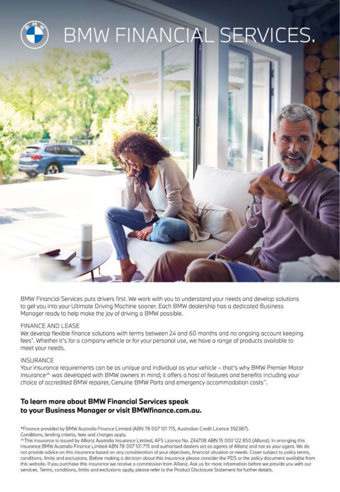

BMW Financial Services puts drivers first. We work with you to understand your needs and develop solutions to get you into your Ultimate Driving Mochine sooner. Each BMW dealership has a dedicated Business Manager ready to help make the joy of driving a BMW possible.

### FINANCE AND LEASE

We develop flexible finance solutions with terms between 24 and 60 months and no ongoing account keeping fees". Whether it's for a company vehicle or for your personal use, we have a range of products available to meet your needs.

### INSURANCE

Your insurance requirements can be as unique and individual as your vehicle - that's why BMW Premier Motor Insurance^ was developed with BMW owners in mind; it offers a host of features and benefits including your choice of accredited BMW repairer, Genuine BMW Parts and emergency accommodation costs<sup>^</sup>.

### To learn more about BMW Financial Services speak to your Business Manager or visit BMWfinance.com.au.

\*Finance provided by BMW Australia Finance Limited (ABN 78 007 101 715, Australian Credit Licence 392387). Conditions, lending criteria, fees and charges apply.

^This insurance is issued by Allianz Australia Insurance Limited, AFS Licence No. 234708 ABN 15 000 122 850 (Allianz). In arranging this insurance BMW Australia Finance Limited ABN 78 007 101 715 and authorised dealers act as agents of Allianz and not as your agent. We do not provide advice on this insurance based on any consideration of your objectives, financial situation or needs. Cover subject to policy terms, conditions, limits and exclusions. Before making a decision about this insurance please consider the PDS or the policy document available from this website. If you purchase this insurance we receive a commission from Allianz. Ask us for more information before we provide you with our services. Terms, conditions, limits and exclusions apply, please refer to the Product Disclosure Statement for further details.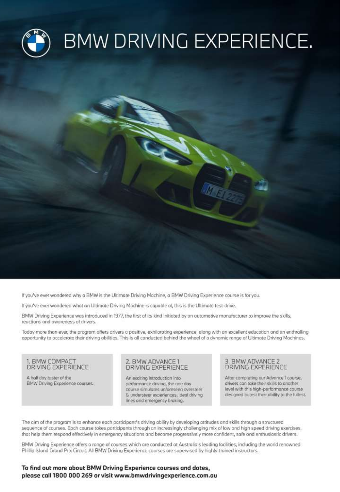

If you've ever wondered why a BMW is the Ultimate Driving Machine, a BMW Driving Experience course is for you.

If you've ever wondered what an Ultimate Driving Machine is capable of, this is the Ultimate test-drive.

BMW Driving Experience was introduced in 1977, the first of its kind initiated by on automotive manufacturer to improve the skills, reactions and awareness of drivers.

Today more than ever, the program offers drivers a positive, exhilarating experience, along with an excellent education and an enthralling opportunity to accelerate their driving abilities. This is all conducted behind the wheel of a dynamic range of Ultimate Driving Machines.

### 1. BMW COMPACT DRIVING EXPERIENCE

A half day taster of the BMW Driving Experience courses.

#### BMW ADVANCE1 **DRIVING EXPERIENCE**

An exciting introduction into performance driving, the one day course simulates unforeseen oversteer & understeer experiences, ideal driving lines and emergency braking.

### 3. BMW ADVANCE 2 DRIVING EXPERIENCE

After completing our Advance 1 course, drivers can take their skills to another level with this high-performance course designed to test their ability to the fullest.

The aim of the program is to enhance each participant's driving ability by developing attitudes and skills through a structured sequence of courses. Each course takes participants through an increasingly challenging mix of low and high speed driving exercises, that help them respond effectively in emergency situations and become progressively more confident, safe and enthusiastic drivers.

BMW Driving Experience offers a range of courses which are conducted at Australia's leading facilities, including the world renowned Phillip Island Grand Prix Circuit. All BMW Driving Experience courses are supervised by highly-trained instructors.

### To find out more about BMW Driving Experience courses and dates, please call 1800 000 269 or visit www.bmwdrivingexperience.com.au